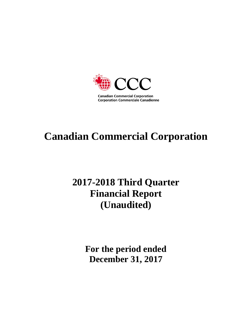

# **Canadian Commercial Corporation**

# **2017-2018 Third Quarter Financial Report (Unaudited)**

**For the period ended December 31, 2017**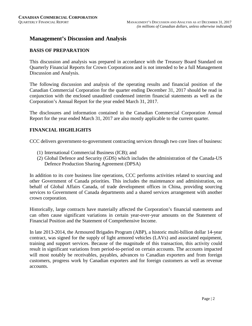# **Management's Discussion and Analysis**

#### **BASIS OF PREPARATION**

This discussion and analysis was prepared in accordance with the Treasury Board Standard on Quarterly Financial Reports for Crown Corporations and is not intended to be a full Management Discussion and Analysis.

The following discussion and analysis of the operating results and financial position of the Canadian Commercial Corporation for the quarter ending December 31, 2017 should be read in conjunction with the enclosed unaudited condensed interim financial statements as well as the Corporation's Annual Report for the year ended March 31, 2017.

The disclosures and information contained in the Canadian Commercial Corporation Annual Report for the year ended March 31, 2017 are also mostly applicable to the current quarter.

# **FINANCIAL HIGHLIGHTS**

CCC delivers government-to-government contracting services through two core lines of business:

- (1) International Commercial Business (ICB); and
- (2) Global Defence and Security (GDS) which includes the administration of the Canada-US Defence Production Sharing Agreement (DPSA)

In addition to its core business line operations, CCC performs activities related to sourcing and other Government of Canada priorities. This includes the maintenance and administration, on behalf of Global Affairs Canada, of trade development offices in China, providing sourcing services to Government of Canada departments and a shared services arrangement with another crown corporation.

Historically, large contracts have materially affected the Corporation's financial statements and can often cause significant variations in certain year-over-year amounts on the Statement of Financial Position and the Statement of Comprehensive Income.

In late 2013-2014, the Armoured Brigades Program (ABP), a historic multi-billion dollar 14-year contract, was signed for the supply of light armored vehicles (LAVs) and associated equipment, training and support services. Because of the magnitude of this transaction, this activity could result in significant variations from period-to-period on certain accounts. The accounts impacted will most notably be receivables, payables, advances to Canadian exporters and from foreign customers, progress work by Canadian exporters and for foreign customers as well as revenue accounts.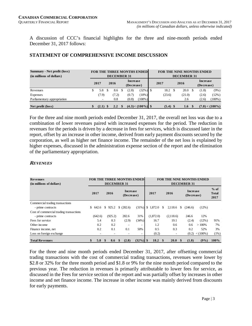A discussion of CCC's financial highlights for the three and nine-month periods ended December 31, 2017 follows:

#### **STATEMENT OF COMPREHENSIVE INCOME DISCUSSION**

| <b>Summary - Net profit (loss)</b><br>(in millions of dollars) |   |            |   | <b>DECEMBER 31</b> |     |                               | <b>FOR THE THREE MONTHS ENDEDI</b> |                          |      | <b>DECEMBER 31</b> |  | <b>FOR THE NINE MONTHS ENDED</b> |                   |
|----------------------------------------------------------------|---|------------|---|--------------------|-----|-------------------------------|------------------------------------|--------------------------|------|--------------------|--|----------------------------------|-------------------|
|                                                                |   | 2017       |   | 2016               |     | <b>Increase</b><br>(Decrease) |                                    | 2017                     | 2016 |                    |  | <b>Increase</b><br>(Decrease)    |                   |
| Revenues                                                       | S | 5.8        | S | 8.6                | \$. | (2.8)                         | $(32\%)$ \$                        | 18.2                     | \$.  | 20.0               |  | (1.8)                            | $(9\%)$           |
| Expenses                                                       |   | (7.9)      |   | (7.2)              |     | (0.7)                         | $(10\%)$                           | (23.6)                   |      | (21.0)             |  | (2.6)                            | (12%)             |
| Parliamentary appropriation                                    |   | ۰          |   | 0.8                |     | (0.8)                         | $(100\%)$                          | $\overline{\phantom{a}}$ | 2.6  |                    |  | (2.6)                            | $(100\%)$         |
| Net profit (loss)                                              |   | $(2.1)$ \$ |   | 2.2 <sup>5</sup>   |     |                               | $(4.3) < (100\%)$ \$               | $(5.4)$ \$               |      | 1.6                |  |                                  | $(7.0) < (100\%)$ |

For the three and nine month periods ended December 31, 2017, the overall net loss was due to a combination of lower revenues paired with increased expenses for the period. The reduction in revenues for the periods is driven by a decrease in fees for services, which is discussed later in the report, offset by an increase in other income, derived from early payment discounts secured by the corporation, as well as higher net finance income. The remainder of the net loss is explained by higher expenses, discussed in the administration expense section of the report and the elimination of the parliamentary appropriation.

#### **REVENUES**

| <b>Revenues</b><br>(in millions of dollars) |                                               |                      | <b>FOR THE THREE MONTHS ENDED</b><br><b>DECEMBER 31</b> |             |                               | <b>FOR THE NINE MONTHS ENDED</b> | <b>DECEMBER 31</b>     |            |                                |
|---------------------------------------------|-----------------------------------------------|----------------------|---------------------------------------------------------|-------------|-------------------------------|----------------------------------|------------------------|------------|--------------------------------|
|                                             | <b>Increase</b><br>2017<br>2016<br>(Decrease) |                      |                                                         |             | 2017                          | 2016                             | Increase<br>(Decrease) |            | $%$ of<br><b>Total</b><br>2017 |
| Commercial trading transactions             |                                               |                      |                                                         |             |                               |                                  |                        |            |                                |
| - prime contracts                           | \$642.6                                       | \$925.2              | \$ (282.6)                                              | $(31\%)$    | $1.872.0$ \$<br><sup>\$</sup> | 2.118.6                          | (246.6)<br>S.          | $(12\%)$   |                                |
| Cost of commercial trading transactions     |                                               |                      |                                                         |             |                               |                                  |                        |            |                                |
| - prime contracts                           | (642.6)                                       | (925.2)              | 282.6                                                   | 31%         | (1,872.0)                     | (2,118.6)                        | 246.6                  | 12%        |                                |
| Fees for service                            | 5.4                                           | 8.3                  | (2.9)                                                   | (34%)       | 16.7                          | 19.1                             | (2.4)                  | $(12\%)$   | 91%                            |
| Other income                                | 0.2                                           | 0.2                  |                                                         |             | 1.2                           | 0.6                              | 0.6                    | $>100\%$   | 7%                             |
| Finance income, net                         | 0.2                                           | 0.1                  | 0.1                                                     | 50%         | 0.5                           | 0.3                              | 0.2                    | 52%        | 3%                             |
| Loss on foreign exchange                    |                                               |                      | $\overline{a}$                                          | ٠           | (0.2)                         |                                  | (0.2)                  | $<$ (100%) | $(1\%)$                        |
| <b>Total Revenues</b>                       | 5.8                                           | $\mathbf{\$}$<br>8.6 | (2.8)<br><sup>\$</sup>                                  | $(32\%)$ \$ | 18.2 <sup>°</sup>             | <b>20.0</b>                      | (1.8)                  | $(9\%)$    | $100\%$                        |

For the three and nine month periods ended December 31, 2017, after offsetting commercial trading transactions with the cost of commercial trading transactions, revenues were lower by \$2.8 or 32% for the three month period and \$1.8 or 9% for the nine month period compared to the previous year. The reduction in revenues is primarily attributable to lower fees for service, as discussed in the Fees for service section of the report and was partially offset by increases in other income and net finance income. The increase in other income was mainly derived from discounts for early payments.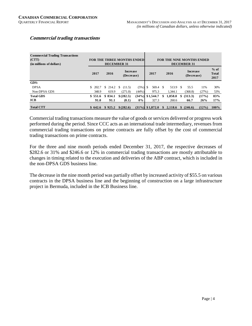| <b>Commercial Trading Transactions</b><br>(CTT)<br>(in millions of dollars) |         | <b>DECEMBER 31</b> | <b>FOR THE THREE MONTHS ENDED</b> |                    |          |                                     | <b>FOR THE NINE MONTHS ENDED</b><br><b>DECEMBER 31</b> |          |                                |
|-----------------------------------------------------------------------------|---------|--------------------|-----------------------------------|--------------------|----------|-------------------------------------|--------------------------------------------------------|----------|--------------------------------|
|                                                                             | 2017    | 2016               | <b>Increase</b><br>(Decrease)     |                    | 2017     | 2016                                | <b>Increase</b><br>(Decrease)                          |          | $%$ of<br><b>Total</b><br>2017 |
| GDS:                                                                        |         |                    |                                   |                    |          |                                     |                                                        |          |                                |
| <b>DPSA</b>                                                                 |         |                    | $$202.7 \t$214.2 \t$(11.5)$       | $(5\%)$ \$         | 569.4 \$ | 513.9 \$                            | 55.5                                                   | 11%      | 30%                            |
| Non-DPSA GDS                                                                | 348.9   | 619.9              | (271.0)                           | (44%)              | 975.3    | 1.344.1                             | (368.8)                                                | (27%)    | 53%                            |
| <b>Total GDS</b>                                                            | \$551.6 | \$834.1            | $$^{(282.5)}$                     | $(34\%)$ \$1,544.7 |          | \$<br>1,858.0                       | \$ (313.3)                                             | (17%)    | 83%                            |
| <b>ICB</b>                                                                  | 91.0    | 91.1               | (0.1)                             | $0\%$              | 327.3    | 260.6                               | 66.7                                                   | 26%      | 17%                            |
| <b>Total CTT</b>                                                            | \$642.6 |                    | $$925.2 \t$ (282.6)$              | $(31\%)$ \$1.872.0 |          | $\frac{1}{2}$ , 2, 118.6 \; (246.6) |                                                        | $(12\%)$ | 100%                           |

# **Commercial trading transactions**

Commercial trading transactions measure the value of goods or services delivered or progress work performed during the period. Since CCC acts as an international trade intermediary, revenues from commercial trading transactions on prime contracts are fully offset by the cost of commercial trading transactions on prime contracts.

For the three and nine month periods ended December 31, 2017, the respective decreases of \$282.6 or 31% and \$246.6 or 12% in commercial trading transactions are mostly attributable to changes in timing related to the execution and deliveries of the ABP contract, which is included in the non-DPSA GDS business line.

The decrease in the nine month period was partially offset by increased activity of \$55.5 on various contracts in the DPSA business line and the beginning of construction on a large infrastructure project in Bermuda, included in the ICB Business line.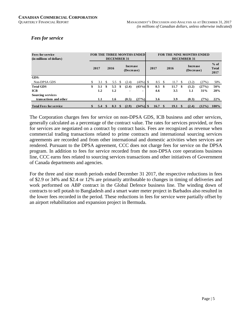# *Fees for service*

| <b>Fees for service</b><br>(in millions of dollars) |     |      |          | DECEMBER 31 |      |                               | <b>FOR THE THREE MONTHS ENDED</b> |                |      | <b>FOR THE NINE MONTHS ENDED</b> |              | <b>DECEMBER 31</b>            |          |                                |
|-----------------------------------------------------|-----|------|----------|-------------|------|-------------------------------|-----------------------------------|----------------|------|----------------------------------|--------------|-------------------------------|----------|--------------------------------|
|                                                     |     | 2017 |          | 2016        |      | <b>Increase</b><br>(Decrease) |                                   | 2017           |      | 2016                             |              | <b>Increase</b><br>(Decrease) |          | $%$ of<br><b>Total</b><br>2017 |
| GDS:                                                |     |      |          |             |      |                               |                                   |                |      |                                  |              |                               |          |                                |
| Non-DPSA GDS                                        | \$. | 3.1  | -S       | 5.5         | -S   | (2.4)                         | $(43\%)$ \$                       | $8.5 \quad$ \$ |      | 11.7                             | <sup>S</sup> | (3.2)                         | (27%)    | 50%                            |
| <b>Total GDS</b>                                    | \$  | 3.1  | \$       | 5.5         | \$   | (2.4)                         | $(43\%)$ \$                       | 8.5            | - \$ | 11.7                             | \$.          | (3.2)                         | (27%)    | 50%                            |
| <b>ICB</b>                                          |     | 1.2  |          | $1.2\,$     |      |                               |                                   | 4.6            |      | 3.5                              |              | $1.1\,$                       | 31%      | 28%                            |
| <b>Sourcing services</b>                            |     |      |          |             |      |                               |                                   |                |      |                                  |              |                               |          |                                |
| transactions and other                              |     | 1.1  |          | 1.6         |      | (0.5)                         | (27%)                             | 3.6            |      | 3.9                              |              | (0.3)                         | (7%)     | 22%                            |
| <b>Total Fees for service</b>                       |     | 5.4  | <b>S</b> | 8.3         | - \$ | (2.9)                         | $(34\%)$ \$                       | 16.7           | - \$ | 19.1                             | $\mathbf{S}$ | (2.4)                         | $(12\%)$ | 100%                           |

The Corporation charges fees for service on non-DPSA GDS, ICB business and other services, generally calculated as a percentage of the contract value. The rates for services provided, or fees for services are negotiated on a contract by contract basis. Fees are recognized as revenue when commercial trading transactions related to prime contracts and international sourcing services agreements are recorded and from other international and domestic activities when services are rendered. Pursuant to the DPSA agreement, CCC does not charge fees for service on the DPSA program. In addition to fees for service recorded from the non-DPSA core operations business line, CCC earns fees related to sourcing services transactions and other initiatives of Government of Canada departments and agencies.

For the three and nine month periods ended December 31 2017, the respective reductions in fees of \$2.9 or 34% and \$2.4 or 12% are primarily attributable to changes in timing of deliveries and work performed on ABP contract in the Global Defence business line. The winding down of contracts to sell potash to Bangladesh and a smart water meter project in Barbados also resulted in the lower fees recorded in the period. These reductions in fees for service were partially offset by an airport rehabilitation and expansion project in Bermuda.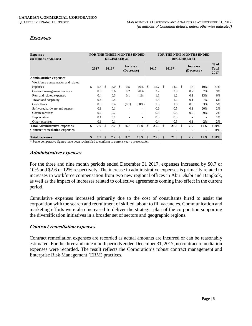# **EXPENSES**

| <b>Expenses</b><br>(in millions of dollars) |                                | <b>FOR THE THREE MONTHS ENDED</b><br><b>DECEMBER 31</b> |     |       |     |                               |          |          |      |      |             |      | <b>FOR THE NINE MONTHS ENDED</b><br><b>DECEMBER 31</b> |     |                                |
|---------------------------------------------|--------------------------------|---------------------------------------------------------|-----|-------|-----|-------------------------------|----------|----------|------|------|-------------|------|--------------------------------------------------------|-----|--------------------------------|
|                                             |                                | 2017                                                    |     | 2016* |     | <b>Increase</b><br>(Decrease) |          |          | 2017 |      | $2016*$     |      | <b>Increase</b><br>(Decrease)                          |     | $%$ of<br><b>Total</b><br>2017 |
| <b>Administrative expenses</b>              |                                |                                                         |     |       |     |                               |          |          |      |      |             |      |                                                        |     |                                |
| Workforce compensation and related          |                                |                                                         |     |       |     |                               |          |          |      |      |             |      |                                                        |     |                                |
| expenses                                    | \$                             | 5.5                                                     | \$. | 5.0   | -\$ | 0.5                           | 10%      | \$       | 15.7 | -\$  | 14.2        | - \$ | 1.5                                                    | 10% | 67%                            |
| Contract management services                |                                | 0.8                                                     |     | 0.6   |     | 0.2                           | 20%      |          | 2.2  |      | 2.0         |      | 0.2                                                    | 7%  | 9%                             |
| Rent and related expenses                   |                                | 0.4                                                     |     | 0.3   |     | 0.1                           | 41%      |          | 1.3  |      | 1.2         |      | 0.1                                                    | 13% | 6%                             |
| Travel and hospitality                      |                                | 0.4                                                     |     | 0.4   |     | ٠                             |          |          | 1.3  |      | 1.2         |      | 0.1                                                    | 7%  | 6%                             |
| Consultants                                 |                                | 0.3                                                     |     | 0.4   |     | (0.1)                         | $(30\%)$ |          | 1.3  |      | 1.0         |      | 0.3                                                    | 33% | 5%                             |
| Software, hardware and support              |                                | 0.1                                                     |     | 0.1   |     |                               |          |          | 0.6  |      | 0.5         |      | 0.1                                                    | 20% | 2%                             |
| Communications                              |                                | 0.2                                                     |     | 0.2   |     |                               |          |          | 0.5  |      | 0.3         |      | 0.2                                                    | 99% | 2%                             |
| Depreciation                                |                                | 0.1                                                     |     | 0.1   |     |                               |          |          | 0.3  |      | 0.3         |      |                                                        | ٠   | 1%                             |
| Other expenses                              |                                | 0.1                                                     |     | 0.1   |     |                               |          |          | 0.4  |      | 0.3         |      | 0.1                                                    | 42% | 2%                             |
| <b>Total Administrative expenses</b>        | \$                             | 7.9                                                     | \$  | 7.2   | \$  | 0.7                           | 10%      | \$       | 23.6 | \$   | 21.0        | -\$  | 2.6                                                    | 12% | 100%                           |
| <b>Contract remediation expenses</b>        |                                |                                                         |     |       |     |                               |          |          |      |      |             |      |                                                        |     | $0\%$                          |
| <b>Total Expenses</b><br>$\sim$ $\sim$      | $\cdot$ $\sim$ $\cdot$ $\cdot$ | 7.9                                                     | \$  | 7.2   | -\$ | 0.7                           | $10\%$   | <b>S</b> | 23.6 | - \$ | <b>21.0</b> | -\$  | 2.6                                                    | 12% | $100\%$                        |

\* Some comparative figures have been reclassified to conform to current year's presentation.

# **Administrative expenses**

For the three and nine month periods ended December 31 2017, expenses increased by \$0.7 or 10% and \$2.6 or 12% respectively. The increase in administrative expenses is primarily related to increases in workforce compensation from two new regional offices in Abu Dhabi and Bangkok, as well as the impact of increases related to collective agreements coming into effect in the current period.

Cumulative expenses increased primarily due to the cost of consultants hired to assist the corporation with the search and recruitment of skilled labour to fill vacancies. Communication and marketing efforts were also increased to deliver the strategic plan of the corporation supporting the diversification initiatives in a broader set of sectors and geographic regions.

#### **Contract remediation expenses**

Contract remediation expenses are recorded as actual amounts are incurred or can be reasonably estimated. For the three and nine month periods ended December 31, 2017, no contract remediation expenses were recorded. The result reflects the Corporation's robust contract management and Enterprise Risk Management (ERM) practices.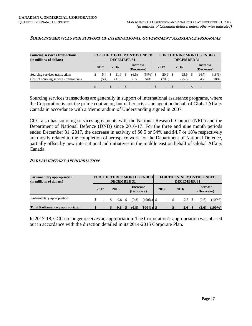#### **SOURCING SERVICES FOR SUPPORT OF INTERNATIONAL GOVERNMENT ASSISTANCE PROGRAMS**

| <b>Sourcing services transactions</b><br>(in millions of dollars) | <b>FOR THE THREE MONTHS ENDED</b><br><b>DECEMBER 31</b> |  |                |               |       |             |      |        | <b>DECEMBER 31</b>     | <b>FOR THE NINE MONTHS ENDED</b> |       |
|-------------------------------------------------------------------|---------------------------------------------------------|--|----------------|---------------|-------|-------------|------|--------|------------------------|----------------------------------|-------|
|                                                                   | Increase<br>2016<br>2017<br>(Decrease)                  |  |                |               |       |             | 2017 | 2016   | Increase<br>(Decrease) |                                  |       |
| Sourcing services transactions                                    | 5.4                                                     |  | 11.9           | <sup>\$</sup> | (6.5) | $(54\%)$ \$ |      | 20.9   | 25.6                   | (4.7)                            | (18%) |
| Cost of sourcing services transactions                            | (5.4)                                                   |  | (11.9)         |               | 6.5   | 54%         |      | (20.9) | (25.6)                 | -4.7                             | 18%   |
|                                                                   |                                                         |  | $\blacksquare$ |               |       | $-1S$       |      | . .    |                        |                                  |       |

Sourcing services transactions are generally in support of international assistance programs, where the Corporation is not the prime contractor, but rather acts as an agent on behalf of Global Affairs Canada in accordance with a Memorandum of Understanding signed in 2007.

CCC also has sourcing services agreements with the National Research Council (NRC) and the Department of National Defence (DND) since 2016-17. For the three and nine month periods ended December 31, 2017, the decrease in activity of \$6.5 or 54% and \$4.7 or 18% respectively are mostly related to the completion of aerospace work for the Department of National Defence, partially offset by new international aid initiatives in the middle east on behalf of Global Affairs Canada.

#### **PARLIAMENTARY APPROPRIATION**

| <b>Parliamentary appropriation</b><br>(in millions of dollars) |      |                          |      | <b>DECEMBER 31</b> |          |                               | FOR THE THREE MONTHS ENDED |      |    | <b>DECEMBER 31</b> | <b>FOR THE NINE MONTHS ENDED</b> |           |
|----------------------------------------------------------------|------|--------------------------|------|--------------------|----------|-------------------------------|----------------------------|------|----|--------------------|----------------------------------|-----------|
|                                                                | 2017 |                          | 2016 |                    |          | <b>Increase</b><br>(Decrease) |                            | 2017 |    | 2016               | <b>Increase</b><br>(Decrease)    |           |
| Parliamentary appropriation                                    |      | $\overline{\phantom{a}}$ |      | 0.8                |          | (0.8)                         | $(100\%)$ \$               |      | Ξ. | 2.6                | (2.6)                            | $(100\%)$ |
| <b>Total Parliamentary appropriation</b>                       |      |                          |      | 0.8                | <b>S</b> | (0.8)                         | $(100\%)$ \$               |      |    | 2.6                | (2.6)                            | $(100\%)$ |

In 2017-18, CCC no longer receives an appropriation. The Corporation's appropriation was phased out in accordance with the direction detailed in its 2014-2015 Corporate Plan.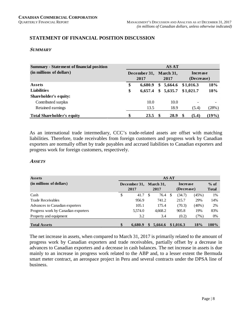# **STATEMENT OF FINANCIAL POSITION DISCUSSION**

#### **SUMMARY**

| <b>Summary - Statement of financial position</b> |    |                      |    | <b>AS AT</b>      |   |                        |          |
|--------------------------------------------------|----|----------------------|----|-------------------|---|------------------------|----------|
| (in millions of dollars)                         |    | December 31,<br>2017 |    | March 31,<br>2017 |   | Increase<br>(Decrease) |          |
| <b>Assets</b>                                    | \$ | 6,680.9              | S. | 5,664.6           |   | \$1,016.3              | 18%      |
| <b>Liabilities</b>                               | \$ | 6.657.4              | \$ | 5,635.7           |   | \$1,021.7              | 18%      |
| Shareholder's equity:                            |    |                      |    |                   |   |                        |          |
| Contributed surplus                              |    | 10.0                 |    | 10.0              |   |                        |          |
| Retained earnings                                |    | 13.5                 |    | 18.9              |   | (5.4)                  | (28%)    |
| <b>Total Shareholder's equity</b>                |    | 23.5                 |    | 28.9              | S | (5.4)                  | $(19\%)$ |

As an international trade intermediary, CCC's trade-related assets are offset with matching liabilities. Therefore, trade receivables from foreign customers and progress work by Canadian exporters are normally offset by trade payables and accrued liabilities to Canadian exporters and progress work for foreign customers, respectively.

#### **ASSETS**

| Assets                              |                      |    |                   | <b>AS AT</b> |                        |          |                        |
|-------------------------------------|----------------------|----|-------------------|--------------|------------------------|----------|------------------------|
| (in millions of dollars)            | December 31,<br>2017 |    | March 31,<br>2017 |              | Increase<br>(Decrease) |          | $%$ of<br><b>Total</b> |
| Cash                                | \$<br>41.7           | -S | 76.4              | S            | (34.7)                 | (45%)    | 1%                     |
| <b>Trade Receivables</b>            | 956.9                |    | 741.2             |              | 215.7                  | 29%      | 14%                    |
| Advances to Canadian exporters      | 105.1                |    | 175.4             |              | (70.3)                 | $(40\%)$ | 2%                     |
| Progress work by Canadian exporters | 5.574.0              |    | 4,668.2           |              | 905.8                  | 19%      | 83%                    |
| Property and equipment              | 3.2                  |    | 3.4               |              | (0.2)                  | (7%)     | 0%                     |
| <b>Total Assets</b>                 | \$<br>6.680.9        |    | 5,664.6           |              | \$1,016.3              | 18%      | 100%                   |

The net increase in assets, when compared to March 31, 2017 is primarily related to the amount of progress work by Canadian exporters and trade receivables, partially offset by a decrease in advances to Canadian exporters and a decrease in cash balances. The net increase in assets is due mainly to an increase in progress work related to the ABP and, to a lesser extent the Bermuda smart meter contract, an aerospace project in Peru and several contracts under the DPSA line of business.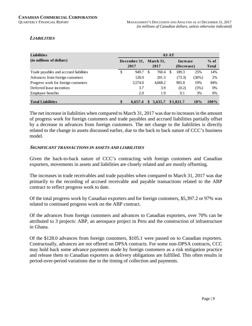# **LIABILITIES**

| <b>Liabilities</b>                     |                      |   |                   | <b>AS AT</b> |                               |          |                        |
|----------------------------------------|----------------------|---|-------------------|--------------|-------------------------------|----------|------------------------|
| (in millions of dollars)               | December 31,<br>2017 |   | March 31,<br>2017 |              | <b>Increase</b><br>(Decrease) |          | $%$ of<br><b>Total</b> |
| Trade payables and accrued liabilities | \$<br>949.7          | S | 760.4             |              | 189.3                         | 25%      | 14%                    |
| Advances from foreign customers        | 128.0                |   | 201.3             |              | (73.3)                        | $(36\%)$ | 2%                     |
| Progress work for foreign customers    | 5.574.0              |   | 4,668.2           |              | 905.8                         | 19%      | 84%                    |
| Deferred lease incentives              | 3.7                  |   | 3.9               |              | (0.2)                         | (5%)     | $0\%$                  |
| Employee benefits                      | 2.0                  |   | 1.9               |              | 0.1                           | 3%       | $0\%$                  |
| <b>Total Liabilities</b>               | \$<br>6.657.4        |   | 5.635.7           |              | \$1,021.7                     | 18%      | $100\%$                |

The net increase in liabilities when compared to March 31, 2017 was due to increases in the amount of progress work for foreign customers and trade payables and accrued liabilities partially offset by a decrease in advances from foreign customers. The net change to the liabilities is directly related to the change in assets discussed earlier, due to the back to back nature of CCC's business model.

#### **SIGNIFICANT TRANSACTIONS IN ASSETS AND LIABILITIES**

Given the back-to-back nature of CCC's contracting with foreign customers and Canadian exporters, movements in assets and liabilities are closely related and are mostly offsetting.

The increases in trade receivables and trade payables when compared to March 31, 2017 was due primarily to the recording of accrued receivable and payable transactions related to the ABP contract to reflect progress work to date.

Of the total progress work by Canadian exporters and for foreign customers, \$5,397.2 or 97% was related to continued progress work on the ABP contract.

Of the advances from foreign customers and advances to Canadian exporters, over 70% can be attributed to 3 projects: ABP, an aerospace project in Peru and the construction of infrastructure in Ghana.

Of the \$128.0 advances from foreign customers, \$105.1 were passed on to Canadian exporters. Contractually, advances are not offered on DPSA contracts. For some non-DPSA contracts, CCC may hold back some advance payments made by foreign customers as a risk mitigation practice and release them to Canadian exporters as delivery obligations are fulfilled. This often results in period-over-period variations due to the timing of collection and payments.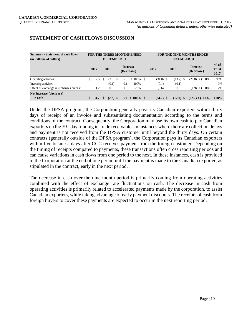| <b>Summary - Statement of cash flows</b><br>(in millions of dollars) |                          | <b>DECEMBER 31</b> |                               | FOR THE THREE MONTHS ENDED |       |             | <b>DECEMBER 31</b> | <b>FOR THE NINE MONTHS ENDED</b> |                                |
|----------------------------------------------------------------------|--------------------------|--------------------|-------------------------------|----------------------------|-------|-------------|--------------------|----------------------------------|--------------------------------|
|                                                                      | 2017                     | 2016               | <b>Increase</b><br>(Decrease) |                            |       | 2017        | 2016               | <b>Increase</b><br>(Decrease)    | $%$ of<br><b>Total</b><br>2017 |
| Operating activities                                                 | \$<br>2.5                | $(3.0)$ \$         | 5.5                           | $>100\%$                   | \$    | $(34.0)$ \$ | $(13.2)$ \$        | $(20.8)$ < $(100\%)$             | 98%                            |
| Investing activities                                                 | $\overline{\phantom{a}}$ | (0.1)              | 0.1                           | 100%                       |       | (0.1)       | (0.1)              |                                  | 0%                             |
| Effect of exchange rate changes on cash                              | 1.2                      | 0.9                | 0.3                           | 28%                        | (0.6) |             | 1.3                | $(1.9)$ < $(100\%)$              | 2%                             |
| Net increase (decrease)<br>in cash                                   | 3.7                      | $(2.2)$ \$         | 5.9                           | $>100\%$ S                 |       | $(34.7)$ \$ | $(12.0)$ \$        | $(22.7) < (100\%)$               | $100\%$                        |

# **STATEMENT OF CASH FLOWS DISCUSSION**

Under the DPSA program, the Corporation generally pays its Canadian exporters within thirty days of receipt of an invoice and substantiating documentation according to the terms and conditions of the contract. Consequently, the Corporation may use its own cash to pay Canadian exporters on the  $30<sup>th</sup>$  day funding its trade receivables in instances where there are collection delays and payment is not received from the DPSA customer until beyond the thirty days. On certain contracts (generally outside of the DPSA program), the Corporation pays its Canadian exporters within five business days after CCC receives payment from the foreign customer. Depending on the timing of receipts compared to payments, these transactions often cross reporting periods and can cause variations in cash flows from one period to the next. In these instances, cash is provided to the Corporation at the end of one period until the payment is made to the Canadian exporter, as stipulated in the contract, early in the next period.

The decrease in cash over the nine month period is primarily coming from operating activities combined with the effect of exchange rate fluctuations on cash. The decrease in cash from operating activities is primarily related to accelerated payments made by the corporation, to assist Canadian exporters, while taking advantage of early payment discounts. The receipts of cash from foreign buyers to cover these payments are expected to occur in the next reporting period.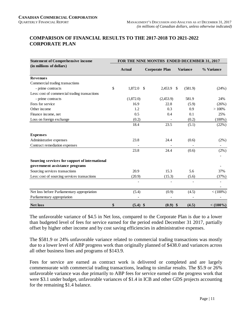# **COMPARISON OF FINANCIAL RESULTS TO THE 2017-2018 TO 2021-2022 CORPORATE PLAN**

| <b>Statement of Comprehensive income</b>       |                  | FOR THE NINE MONTHS ENDED DECEMBER 31, 2017 |                 |         |             |
|------------------------------------------------|------------------|---------------------------------------------|-----------------|---------|-------------|
| (in millions of dollars)                       | <b>Actual</b>    | <b>Corporate Plan</b>                       | <b>Variance</b> |         | % Variance  |
| <b>Revenues</b>                                |                  |                                             |                 |         |             |
| Commercial trading transactions                |                  |                                             |                 |         |             |
| - prime contracts                              | \$<br>1,872.0    | -\$<br>2,453.9                              | <sup>\$</sup>   | (581.9) | (24%)       |
| Less: cost of commercial trading transactions  |                  |                                             |                 |         |             |
| - prime contracts                              | (1,872.0)        | (2,453.9)                                   |                 | 581.9   | 24%         |
| Fees for service                               | 16.9             | 22.8                                        |                 | (5.9)   | (26%)       |
| Other income                                   | 1.2              | 0.3                                         |                 | 0.9     | $>100\%$    |
| Finance income, net                            | 0.5              | 0.4                                         |                 | 0.1     | 25%         |
| Loss on foreign exchange                       | (0.2)            |                                             |                 | (0.2)   | $(100\%)$   |
|                                                | 18.4             | 23.5                                        |                 | (5.1)   | (22%)       |
| <b>Expenses</b>                                |                  |                                             |                 |         |             |
| Administrative expenses                        | 23.8             | 24.4                                        |                 | (0.6)   | $(2\%)$     |
| Contract remediation expenses                  |                  |                                             |                 |         |             |
|                                                | 23.8             | 24.4                                        |                 | (0.6)   | $(2\%)$     |
| Sourcing services for support of international |                  |                                             |                 |         |             |
| government assistance programs                 |                  |                                             |                 |         |             |
| Sourcing services transactions                 | 20.9             | 15.3                                        |                 | 5.6     | 37%         |
| Less: cost of sourcing services transactions   | (20.9)           | (15.3)                                      |                 | (5.6)   | (37%)       |
|                                                |                  |                                             |                 |         |             |
| Net loss before Parliamentary appropriation    | (5.4)            | (0.9)                                       |                 | (4.5)   | $<$ (100%)  |
| Parliamentary appropriation                    |                  |                                             |                 |         |             |
| <b>Net loss</b>                                | \$<br>$(5.4)$ \$ | $(0.9)$ \$                                  |                 | (4.5)   | $< (100\%)$ |

The unfavorable variance of \$4.5 in Net loss, compared to the Corporate Plan is due to a lower than budgeted level of fees for service earned for the period ended December 31 2017, partially offset by higher other income and by cost saving efficiencies in administrative expenses.

The \$581.9 or 24% unfavorable variance related to commercial trading transactions was mostly due to a lower level of ABP progress work than originally planned of \$438.0 and variances across all other business lines and programs of \$143.9.

Fees for service are earned as contract work is delivered or completed and are largely commensurate with commercial trading transactions, leading to similar results. The \$5.9 or 26% unfavorable variance was due primarily to ABP fees for service earned on the progress work that were \$3.1 under budget, unfavorable variances of \$1.4 in ICB and other GDS projects accounting for the remaining \$1.4 balance.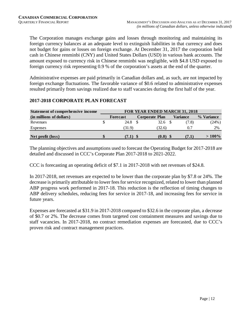The Corporation manages exchange gains and losses through monitoring and maintaining its foreign currency balances at an adequate level to extinguish liabilities in that currency and does not budget for gains or losses on foreign exchange. At December 31, 2017 the corporation held cash in Chinese renminbi (CNY) and United States Dollars (USD) in various bank accounts. The amount exposed to currency risk in Chinese renminbi was negligible, with \$4.8 USD exposed to foreign currency risk representing 0.9 % of the corporation's assets at the end of the quarter.

Administrative expenses are paid primarily in Canadian dollars and, as such, are not impacted by foreign exchange fluctuations. The favorable variance of \$0.6 related to administrative expenses resulted primarily from savings realized due to staff vacancies during the first half of the year.

# **2017-2018 CORPORATE PLAN FORECAST**

| <b>Statement of comprehensive income</b> | <b>FOR YEAR ENDED MARCH 31, 2018</b> |                 |                       |  |                 |            |  |  |  |
|------------------------------------------|--------------------------------------|-----------------|-----------------------|--|-----------------|------------|--|--|--|
| (in millions of dollars)                 |                                      | <b>Forecast</b> | <b>Corporate Plan</b> |  | <b>Variance</b> | % Variance |  |  |  |
| Revenues                                 |                                      | 24.8            | 32.6                  |  | (7.8)           | (24%)      |  |  |  |
| Expenses                                 |                                      | (31.9)          | (32.6)                |  | 0.7             | 2%         |  |  |  |
| Net profit (loss)                        |                                      | (7.1)           | (0.0)                 |  | (7.1)           | $>100\%$   |  |  |  |

The planning objectives and assumptions used to forecast the Operating Budget for 2017-2018 are detailed and discussed in CCC's Corporate Plan 2017-2018 to 2021-2022.

CCC is forecasting an operating deficit of \$7.1 in 2017-2018 with net revenues of \$24.8.

In 2017-2018, net revenues are expected to be lower than the corporate plan by \$7.8 or 24%. The decrease is primarily attributable to lower fees for service recognized, related to lower than planned ABP progress work performed in 2017-18. This reduction is the reflection of timing changes to ABP delivery schedules, reducing fees for service in 2017-18, and increasing fees for service in future years.

Expenses are forecasted at \$31.9 in 2017-2018 compared to \$32.6 in the corporate plan, a decrease of \$0.7 or 2%. The decrease comes from targeted cost containment measures and savings due to staff vacancies. In 2017-2018, no contract remediation expenses are forecasted, due to CCC's proven risk and contract management practices.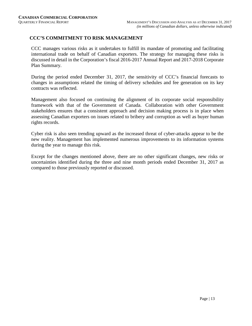# **CCC'S COMMITMENT TO RISK MANAGEMENT**

CCC manages various risks as it undertakes to fulfill its mandate of promoting and facilitating international trade on behalf of Canadian exporters. The strategy for managing these risks is discussed in detail in the Corporation's fiscal 2016-2017 Annual Report and 2017-2018 Corporate Plan Summary.

During the period ended December 31, 2017, the sensitivity of CCC's financial forecasts to changes in assumptions related the timing of delivery schedules and fee generation on its key contracts was reflected.

Management also focused on continuing the alignment of its corporate social responsibility framework with that of the Government of Canada. Collaboration with other Government stakeholders ensures that a consistent approach and decision making process is in place when assessing Canadian exporters on issues related to bribery and corruption as well as buyer human rights records.

Cyber risk is also seen trending upward as the increased threat of cyber-attacks appear to be the new reality. Management has implemented numerous improvements to its information systems during the year to manage this risk.

Except for the changes mentioned above, there are no other significant changes, new risks or uncertainties identified during the three and nine month periods ended December 31, 2017 as compared to those previously reported or discussed.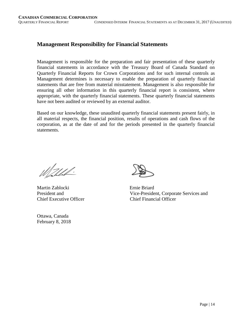# **Management Responsibility for Financial Statements**

Management is responsible for the preparation and fair presentation of these quarterly financial statements in accordance with the Treasury Board of Canada Standard on Quarterly Financial Reports for Crown Corporations and for such internal controls as Management determines is necessary to enable the preparation of quarterly financial statements that are free from material misstatement. Management is also responsible for ensuring all other information in this quarterly financial report is consistent, where appropriate, with the quarterly financial statements. These quarterly financial statements have not been audited or reviewed by an external auditor.

Based on our knowledge, these unaudited quarterly financial statements present fairly, in all material respects, the financial position, results of operations and cash flows of the corporation, as at the date of and for the periods presented in the quarterly financial statements.

Wahled.

Martin Zablocki Ernie Briard Chief Executive Officer Chief Financial Officer

Ottawa, Canada February 8, 2018

President and Vice-President, Corporate Services and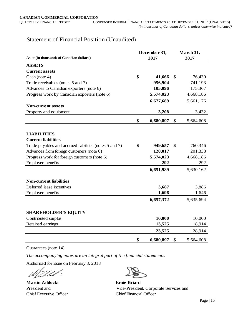# Statement of Financial Position (Unaudited)

|                                                        |    | December 31, | March 31, |           |  |  |
|--------------------------------------------------------|----|--------------|-----------|-----------|--|--|
| As at (in thousands of Canadian dollars)<br>2017       |    |              |           | 2017      |  |  |
| <b>ASSETS</b>                                          |    |              |           |           |  |  |
| <b>Current assets</b>                                  |    |              |           |           |  |  |
| Cash (note 4)                                          | \$ | 41,666       | \$        | 76,430    |  |  |
| Trade receivables (notes 5 and 7)                      |    | 956,904      |           | 741,193   |  |  |
| Advances to Canadian exporters (note 6)                |    | 105,096      |           | 175,367   |  |  |
| Progress work by Canadian exporters (note 6)           |    | 5,574,023    |           | 4,668,186 |  |  |
|                                                        |    | 6,677,689    |           | 5,661,176 |  |  |
| <b>Non-current assets</b>                              |    |              |           |           |  |  |
| Property and equipment                                 |    | 3,208        |           | 3,432     |  |  |
|                                                        | \$ | 6,680,897    | \$        | 5,664,608 |  |  |
|                                                        |    |              |           |           |  |  |
| <b>LIABILITIES</b>                                     |    |              |           |           |  |  |
| <b>Current liabilities</b>                             |    |              |           |           |  |  |
| Trade payables and accrued liabilities (notes 5 and 7) | \$ | 949,657      | \$        | 760,346   |  |  |
| Advances from foreign customers (note 6)               |    | 128,017      |           | 201,338   |  |  |
| Progress work for foreign customers (note 6)           |    | 5,574,023    |           | 4,668,186 |  |  |
| Employee benefits                                      |    | 292          |           | 292       |  |  |
|                                                        |    | 6,651,989    |           | 5,630,162 |  |  |
| <b>Non-current liabilities</b>                         |    |              |           |           |  |  |
| Deferred lease incentives                              |    | 3,687        |           | 3,886     |  |  |
| <b>Employee benefits</b>                               |    | 1,696        |           | 1,646     |  |  |
|                                                        |    | 6,657,372    |           | 5,635,694 |  |  |
|                                                        |    |              |           |           |  |  |
| <b>SHAREHOLDER'S EQUITY</b>                            |    |              |           |           |  |  |
| Contributed surplus                                    |    | 10,000       |           | 10,000    |  |  |
| Retained earnings                                      |    | 13,525       |           | 18,914    |  |  |
|                                                        |    | 23,525       |           | 28,914    |  |  |
|                                                        | \$ | 6,680,897    | \$        | 5,664,608 |  |  |

Guarantees (note 14)

*The accompanying notes are an integral part of the financial statements.*

Authorized for issue on February 8, 2018

 $\tilde{\phantom{a}}$ D ahl

**Martin Zablocki Ernie Briard** Chief Executive Officer Chief Financial Officer

President and Vice-President, Corporate Services and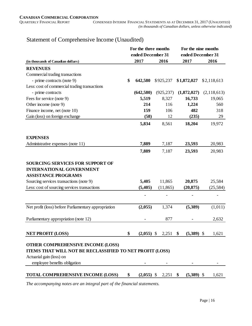**For the three months For the nine months**

# **(in thousands of Canadian dollars) 2017 2016 2017 2016 REVENUES** Commercial trading transactions - prime contracts (note 9) **\$ 642,580** \$925,237 **\$ 1,872,027** \$ 2,118,613 Less: cost of commercial trading transactions - prime contracts **(642,580)** (925,237) **(1,872,027)** (2,118,613) Fees for service (note 9) **5,519** 8,327 **16,733** 19,065 Other income (note 9) **214** 116 **1,224** 560 Finance income, net (note 10) **159** 106 **482** 318 Gain (loss) on foreign exchange (58) 12 (235) 29  **5,834** 8,561 **18,204** 19,972 **EXPENSES** Administrative expenses (note 11) **7,889** 7,187 **23,593** 20,983  **7,889** 7,187 **23,593** 20,983 **SOURCING SERVICES FOR SUPPORT OF INTERNATIONAL GOVERNMENT ASSISTANCE PROGRAMS** Sourcing services transactions (note 9) **5,405** 11,865 **20,875** 25,584 Less: cost of sourcing services transactions **(5,405)** (11,865) **(20,875)** (25,584)  **-** - **-** - Net profit (loss) before Parliamentary appropriation **(2,055)** 1,374 **(5,389)** (1,011) Parliamentary appropriation (note 12) **-** 877 **-** 2,632 **NET PROFIT (LOSS) \$ (2,055)** \$ 2,251 **\$ (5,389)** \$ 1,621 **OTHER COMPREHENSIVE INCOME (LOSS) ITEMS THAT WILL NOT BE RECLASSIFIED TO NET PROFIT (LOSS)** Actuarial gain (loss) on  $emplyee$  benefits obligation **ended December 31 ended December 31**

**TOTAL COMPREHENSIVE INCOME (LOSS) \$ (2,055)** \$ 2,251 **\$ (5,389)** \$ 1,621

# Statement of Comprehensive Income (Unaudited)

*The accompanying notes are an integral part of the financial statements.*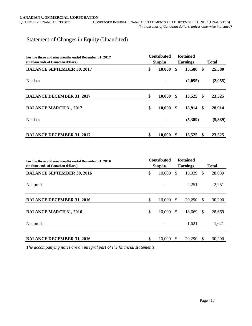# Statement of Changes in Equity (Unaudited)

| For the three and nine months ended December 31, 2017 | <b>Contributed</b> |        |    | <b>Retained</b> |                   |              |  |
|-------------------------------------------------------|--------------------|--------|----|-----------------|-------------------|--------------|--|
| (in thousands of Canadian dollars)                    | <b>Surplus</b>     |        |    | <b>Earnings</b> |                   | <b>Total</b> |  |
| <b>BALANCE SEPTEMBER 30, 2017</b>                     | \$                 | 10,000 | \$ | 15,580          | \$                | 25,580       |  |
| Net loss                                              |                    |        |    | (2,055)         |                   | (2,055)      |  |
| <b>BALANCE DECEMBER 31, 2017</b>                      | \$                 | 10,000 | \$ | 13,525          | $\boldsymbol{\$}$ | 23,525       |  |
| <b>BALANCE MARCH 31, 2017</b>                         | \$                 | 10,000 | \$ | 18,914          | - \$              | 28,914       |  |
| Net loss                                              |                    |        |    | (5,389)         |                   | (5,389)      |  |
| <b>BALANCE DECEMBER 31, 2017</b>                      | \$                 | 10,000 | \$ | 13,525          | \$                | 23,525       |  |

| For the three and nine months ended December 31, 2016<br>(in thousands of Canadian dollars) | <b>Contributed</b><br><b>Surplus</b> |        |               |        |               |        | <b>Retained</b><br><b>Total</b><br><b>Earnings</b> |  |  |
|---------------------------------------------------------------------------------------------|--------------------------------------|--------|---------------|--------|---------------|--------|----------------------------------------------------|--|--|
| <b>BALANCE SEPTEMBER 30, 2016</b>                                                           | \$                                   | 10,000 | \$.           | 18,039 | $\mathbb{S}$  | 28,039 |                                                    |  |  |
| Net profit                                                                                  |                                      |        |               | 2,251  |               | 2,251  |                                                    |  |  |
| <b>BALANCE DECEMBER 31, 2016</b>                                                            | \$                                   | 10,000 | $\mathbb{S}$  | 20,290 | \$            | 30,290 |                                                    |  |  |
| <b>BALANCE MARCH 31, 2016</b>                                                               | \$                                   | 10,000 | <sup>\$</sup> | 18,669 | <sup>\$</sup> | 28,669 |                                                    |  |  |
| Net profit                                                                                  |                                      |        |               | 1,621  |               | 1,621  |                                                    |  |  |
| <b>BALANCE DECEMBER 31, 2016</b>                                                            | \$                                   | 10,000 | <sup>\$</sup> | 20,290 | <sup>\$</sup> | 30,290 |                                                    |  |  |

*The accompanying notes are an integral part of the financial statements.*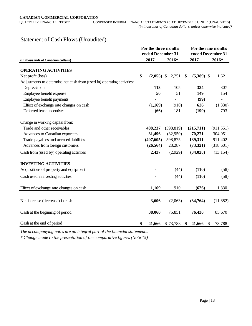# Statement of Cash Flows (Unaudited)

|                                                                        | For the three months<br>ended December 31 |            | For the nine months<br>ended December 31 |              |    |                          |  |
|------------------------------------------------------------------------|-------------------------------------------|------------|------------------------------------------|--------------|----|--------------------------|--|
| (in thousands of Canadian dollars)                                     | 2017                                      | 2016*      |                                          | 2017         |    | 2016*                    |  |
| <b>OPERATING ACTIVITIES</b>                                            |                                           |            |                                          |              |    |                          |  |
| Net profit (loss)                                                      | \$<br>$(2,055)$ \$                        | 2,251      | \$                                       | $(5,389)$ \$ |    | 1,621                    |  |
| Adjustments to determine net cash from (used in) operating activities: |                                           |            |                                          |              |    |                          |  |
| Depreciation                                                           | 113                                       | 105        |                                          | 334          |    | 307                      |  |
| Employee benefit expense                                               | 50                                        | 51         |                                          | 149          |    | 154                      |  |
| Employee benefit payments                                              |                                           |            |                                          | (99)         |    | $\overline{\phantom{a}}$ |  |
| Effect of exchange rate changes on cash                                | (1,169)                                   | (910)      |                                          | 626          |    | (1, 330)                 |  |
| Deferred lease incentives                                              | (66)                                      | 181        |                                          | (199)        |    | 793                      |  |
| Change in working capital from:                                        |                                           |            |                                          |              |    |                          |  |
| Trade and other receivables                                            | 408,237                                   | (598, 819) |                                          | (215,711)    |    | (911, 551)               |  |
| Advances to Canadian exporters                                         | 31,496                                    | (32,950)   |                                          | 70,271       |    | 304,051                  |  |
| Trade payables and accrued liabilities                                 | (407, 605)                                | 598,875    |                                          | 189,311      |    | 911,402                  |  |
| Advances from foreign customers                                        | (26, 564)                                 | 28,287     |                                          | (73,321)     |    | (318,601)                |  |
| Cash from (used by) operating activities                               | 2,437                                     | (2,929)    |                                          | (34, 028)    |    | (13, 154)                |  |
| <b>INVESTING ACTIVITIES</b>                                            |                                           |            |                                          |              |    |                          |  |
| Acquisitions of property and equipment                                 |                                           | (44)       |                                          | (110)        |    | (58)                     |  |
| Cash used in investing activities                                      |                                           | (44)       |                                          | (110)        |    | (58)                     |  |
| Effect of exchange rate changes on cash                                | 1,169                                     | 910        |                                          | (626)        |    | 1,330                    |  |
| Net increase (decrease) in cash                                        | 3,606                                     | (2,063)    |                                          | (34,764)     |    | (11, 882)                |  |
|                                                                        |                                           |            |                                          |              |    |                          |  |
| Cash at the beginning of period                                        | 38,060                                    | 75,851     |                                          | 76,430       |    | 85,670                   |  |
| Cash at the end of period                                              | \$<br>41,666                              | \$73,788   | \$                                       | 41,666       | \$ | 73,788                   |  |

*The accompanying notes are an integral part of the financial statements.*

*\* Change made to the presentation of the comparative figures (Note 15)*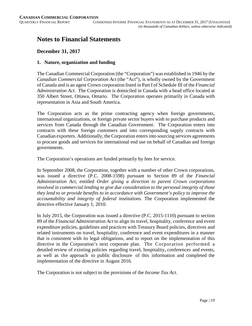# **Notes to Financial Statements**

# **December 31, 2017**

#### **1. Nature, organization and funding**

The Canadian Commercial Corporation (the "Corporation") was established in 1946 by the *Canadian Commercial Corporation Act* (the "Act"), is wholly owned by the Government of Canada and is an agent Crown corporation listed in Part I of Schedule III of the *Financial Administration Act*. The Corporation is domiciled in Canada with a head office located at 350 Albert Street, Ottawa, Ontario. The Corporation operates primarily in Canada with representation in Asia and South America.

The Corporation acts as the prime contracting agency when foreign governments, international organizations, or foreign private sector buyers wish to purchase products and services from Canada through the Canadian Government. The Corporation enters into contracts with these foreign customers and into corresponding supply contracts with Canadian exporters. Additionally, the Corporation enters into sourcing services agreements to procure goods and services for international end use on behalf of Canadian and foreign governments.

The Corporation's operations are funded primarily by fees for service.

In September 2008, the Corporation, together with a number of other Crown corporations, was issued a directive (P.C. 2008-1598) pursuant to Section 89 of the *Financial Administration Act*, entitled *Order giving a direction to parent Crown corporations involved in commercial lending to give due consideration to the personal integrity of those they lend to or provide benefits to in accordance with Government's policy to improve the accountability and integrity of federal institutions*. The Corporation implemented the directive effective January 1, 2010.

In July 2015, the Corporation was issued a directive (P.C. 2015-1110) pursuant to section 89 of the *Financial Administration Act* to align its travel, hospitality, conference and event expenditure policies, guidelines and practices with Treasury Board policies, directives and related instruments on travel, hospitality, conference and event expenditures in a manner that is consistent with its legal obligations, and to report on the implementation of this directive in the Corporation's next corporate plan. The Corporation performed a detailed review of existing policies regarding travel, hospitality, conferences and events, as well as the approach to public disclosure of this information and completed the implementation of the directive in August 2016.

The Corporation is not subject to the provisions of the *Income Tax Act*.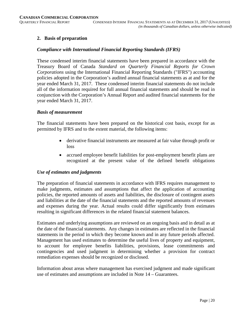#### **2. Basis of preparation**

#### *Compliance with International Financial Reporting Standards (IFRS)*

These condensed interim financial statements have been prepared in accordance with the Treasury Board of Canada *Standard on Quarterly Financial Reports for Crown Corporations* using the International Financial Reporting Standards ("IFRS") accounting policies adopted in the Corporation's audited annual financial statements as at and for the year ended March 31, 2017. These condensed interim financial statements do not include all of the information required for full annual financial statements and should be read in conjunction with the Corporation's Annual Report and audited financial statements for the year ended March 31, 2017.

#### *Basis of measurement*

The financial statements have been prepared on the historical cost basis, except for as permitted by IFRS and to the extent material, the following items:

- derivative financial instruments are measured at fair value through profit or loss
- accrued employee benefit liabilities for post-employment benefit plans are recognized at the present value of the defined benefit obligations

#### *Use of estimates and judgments*

The preparation of financial statements in accordance with IFRS requires management to make judgments, estimates and assumptions that affect the application of accounting policies, the reported amounts of assets and liabilities, the disclosure of contingent assets and liabilities at the date of the financial statements and the reported amounts of revenues and expenses during the year. Actual results could differ significantly from estimates resulting in significant differences in the related financial statement balances.

Estimates and underlying assumptions are reviewed on an ongoing basis and in detail as at the date of the financial statements. Any changes in estimates are reflected in the financial statements in the period in which they become known and in any future periods affected. Management has used estimates to determine the useful lives of property and equipment, to account for employee benefits liabilities, provisions, lease commitments and contingencies and used judgment in determining whether a provision for contract remediation expenses should be recognized or disclosed.

Information about areas where management has exercised judgment and made significant use of estimates and assumptions are included in Note 14 – Guarantees.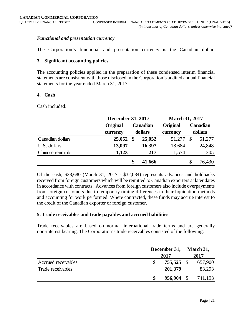# *Functional and presentation currency*

The Corporation's functional and presentation currency is the Canadian dollar.

#### **3. Significant accounting policies**

The accounting policies applied in the preparation of these condensed interim financial statements are consistent with those disclosed in the Corporation's audited annual financial statements for the year ended March 31, 2017.

#### **4. Cash**

Cash included:

|                  |          | December 31, 2017                      |        |          | <b>March 31, 2017</b> |          |  |  |
|------------------|----------|----------------------------------------|--------|----------|-----------------------|----------|--|--|
|                  | Original | <b>Canadian</b><br>dollars<br>currency |        | Original |                       | Canadian |  |  |
|                  |          |                                        |        | currency | dollars               |          |  |  |
| Canadian dollars | 25,052   | \$                                     | 25,052 | 51,277   | $\mathbb{S}$          | 51,277   |  |  |
| U.S. dollars     | 13,097   |                                        | 16,397 | 18,684   |                       | 24,848   |  |  |
| Chinese renminbi | 1,123    |                                        | 217    | 1,574    |                       | 305      |  |  |
|                  |          | \$                                     | 41,666 |          | \$                    | 76,430   |  |  |

Of the cash, \$28,680 (March 31, 2017 - \$32,084) represents advances and holdbacks received from foreign customers which will be remitted to Canadian exporters at later dates in accordance with contracts. Advances from foreign customers also include overpayments from foreign customers due to temporary timing differences in their liquidation methods and accounting for work performed. Where contracted, these funds may accrue interest to the credit of the Canadian exporter or foreign customer.

#### **5. Trade receivables and trade payables and accrued liabilities**

Trade receivables are based on normal international trade terms and are generally non-interest bearing. The Corporation's trade receivables consisted of the following:

|                     | December 31, |            |  | March 31, |  |  |
|---------------------|--------------|------------|--|-----------|--|--|
|                     | 2017         |            |  | 2017      |  |  |
| Accrued receivables |              | 755,525 \$ |  | 657,900   |  |  |
| Trade receivables   |              | 201,379    |  | 83,293    |  |  |
|                     |              | 956,904    |  | 741,193   |  |  |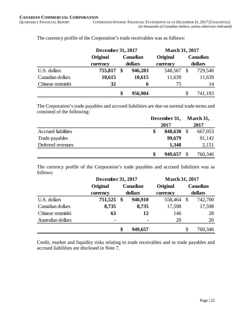|                  |          | December 31, 2017 |         |          | <b>March 31, 2017</b> |          |  |
|------------------|----------|-------------------|---------|----------|-----------------------|----------|--|
|                  | Original | Canadian          |         | Original |                       | Canadian |  |
|                  | currency | dollars           |         | currency | dollars               |          |  |
| U.S. dollars     | 755,817  | \$                | 946,283 | 548,567  |                       | 729,540  |  |
| Canadian dollars | 10,615   |                   | 10,615  | 11,639   |                       | 11,639   |  |
| Chinese renminbi | 32       |                   | 6       | 75       |                       | 14       |  |
|                  |          | S                 | 956,904 |          | S                     | 741,193  |  |

The currency profile of the Corporation's trade receivables was as follows:

The Corporation's trade payables and accrued liabilities are due on normal trade terms and consisted of the following:

|                     | December 31, |  | March 31, |
|---------------------|--------------|--|-----------|
|                     | 2017         |  | 2017      |
| Accrued liabilities | 848,630      |  | 667,053   |
| Trade payables      | 99,679       |  | 91,142    |
| Deferred revenues   | 1,348        |  | 2,151     |
|                     | 949,657      |  | 760,346   |

The currency profile of the Corporation's trade payables and accrued liabilities was as follows:

|                    |          | December 31, 2017 |                |          | <b>March 31, 2017</b> |          |  |  |
|--------------------|----------|-------------------|----------------|----------|-----------------------|----------|--|--|
|                    | Original | <b>Canadian</b>   |                | Original |                       | Canadian |  |  |
|                    | currency |                   | dollars        | currency |                       | dollars  |  |  |
| U.S. dollars       | 751,525  | \$                | 940,910        | 558,464  | \$                    | 742,700  |  |  |
| Canadian dollars   | 8,735    |                   | 8,735          | 17,598   |                       | 17,598   |  |  |
| Chinese renminbi   | 63       |                   | 12             | 146      |                       | 28       |  |  |
| Australian dollars |          |                   | $\blacksquare$ | 20       |                       | 20       |  |  |
|                    |          | \$                | 949,657        |          | \$                    | 760,346  |  |  |

Credit, market and liquidity risks relating to trade receivables and to trade payables and accrued liabilities are disclosed in Note 7.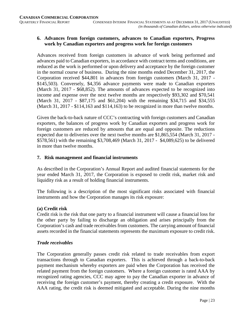# **6. Advances from foreign customers, advances to Canadian exporters, Progress work by Canadian exporters and progress work for foreign customers**

Advances received from foreign customers in advance of work being performed and advances paid to Canadian exporters, in accordance with contract terms and conditions, are reduced as the work is performed or upon delivery and acceptance by the foreign customer in the normal course of business. During the nine months ended December 31, 2017, the Corporation received \$44,801 in advances from foreign customers (March 31, 2017 - \$145,503). Conversely, \$4,356 advance payments were made to Canadian exporters (March 31, 2017 - \$68,852). The amounts of advances expected to be recognized into income and expense over the next twelve months are respectively \$93,302 and \$70,541 (March 31, 2017 - \$87,175 and \$61,204) with the remaining \$34,715 and \$34,555 (March 31, 2017 - \$114,163 and \$114,163) to be recognized in more than twelve months.

Given the back-to-back nature of CCC's contracting with foreign customers and Canadian exporters, the balances of progress work by Canadian exporters and progress work for foreign customers are reduced by amounts that are equal and opposite. The reductions expected due to deliveries over the next twelve months are \$1,865,554 (March 31, 2017 - \$578,561) with the remaining \$3,708,469 (March 31, 2017 - \$4,089,625) to be delivered in more than twelve months.

#### **7. Risk management and financial instruments**

As described in the Corporation's Annual Report and audited financial statements for the year ended March 31, 2017, the Corporation is exposed to credit risk, market risk and liquidity risk as a result of holding financial instruments.

The following is a description of the most significant risks associated with financial instruments and how the Corporation manages its risk exposure:

#### **(a) Credit risk**

Credit risk is the risk that one party to a financial instrument will cause a financial loss for the other party by failing to discharge an obligation and arises principally from the Corporation's cash and trade receivables from customers. The carrying amount of financial assets recorded in the financial statements represents the maximum exposure to credit risk.

#### *Trade receivables*

The Corporation generally passes credit risk related to trade receivables from export transactions through to Canadian exporters. This is achieved through a back-to-back payment mechanism whereby exporters are paid when the Corporation has received the related payment from the foreign customers. Where a foreign customer is rated AAA by recognized rating agencies, CCC may agree to pay the Canadian exporter in advance of receiving the foreign customer's payment, thereby creating a credit exposure. With the AAA rating, the credit risk is deemed mitigated and acceptable. During the nine months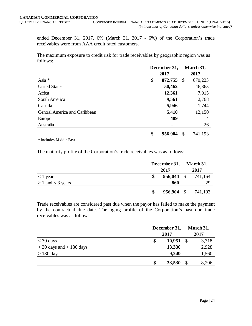ended December 31, 2017, 6% (March 31, 2017 - 6%) of the Corporation's trade receivables were from AAA credit rated customers.

The maximum exposure to credit risk for trade receivables by geographic region was as follows:

|                               | December 31,<br>2017 |         |               | March 31, |
|-------------------------------|----------------------|---------|---------------|-----------|
|                               |                      |         |               | 2017      |
| Asia *                        | \$                   | 872,755 | $\mathcal{S}$ | 670,223   |
| <b>United States</b>          |                      | 50,462  |               | 46,363    |
| Africa                        |                      | 12,361  |               | 7,915     |
| South America                 |                      | 9,561   |               | 2,768     |
| Canada                        |                      | 5,946   |               | 1,744     |
| Central America and Caribbean |                      | 5,410   |               | 12,150    |
| Europe                        |                      | 409     |               | 4         |
| Australia                     |                      |         |               | 26        |
|                               | \$                   | 956,904 | \$            | 741,193   |

\* Includes Middle East

The maturity profile of the Corporation's trade receivables was as follows:

|                       | December 31, March 31, |              |  |         |  |  |
|-----------------------|------------------------|--------------|--|---------|--|--|
|                       | 2017                   |              |  | 2017    |  |  |
| $<$ 1 year            |                        | $956,044$ \$ |  | 741,164 |  |  |
| $> 1$ and $<$ 3 years |                        | 860          |  | 29      |  |  |
|                       |                        | 956,904 \$   |  | 741,193 |  |  |

Trade receivables are considered past due when the payor has failed to make the payment by the contractual due date. The aging profile of the Corporation's past due trade receivables was as follows:

|                              | December 31, |        |  | March 31, |  |
|------------------------------|--------------|--------|--|-----------|--|
|                              |              | 2017   |  |           |  |
| $<$ 30 days                  | \$           | 10,951 |  | 3,718     |  |
| $>$ 30 days and $<$ 180 days |              | 13,330 |  | 2,928     |  |
| $> 180$ days                 |              | 9,249  |  | 1,560     |  |
|                              | \$           | 33,530 |  | 8,206     |  |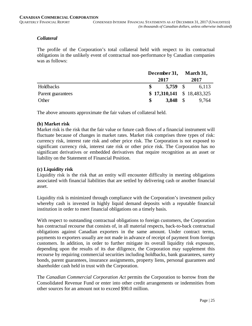#### *Collateral*

The profile of the Corporation's total collateral held with respect to its contractual obligations in the unlikely event of contractual non-performance by Canadian companies was as follows:

|                   | December 31, March 31, |                            |  |       |
|-------------------|------------------------|----------------------------|--|-------|
|                   |                        | 2017                       |  | 2017  |
| Holdbacks         |                        | $5.759$ \$                 |  | 6.113 |
| Parent guarantees |                        | $$17,310,141 \$18,483,325$ |  |       |
| Other             | S.                     | 3,848 $\sqrt{5}$           |  | 9.764 |

The above amounts approximate the fair values of collateral held.

#### **(b) Market risk**

Market risk is the risk that the fair value or future cash flows of a financial instrument will fluctuate because of changes in market rates. Market risk comprises three types of risk: currency risk, interest rate risk and other price risk. The Corporation is not exposed to significant currency risk, interest rate risk or other price risk. The Corporation has no significant derivatives or embedded derivatives that require recognition as an asset or liability on the Statement of Financial Position.

#### **(c) Liquidity risk**

Liquidity risk is the risk that an entity will encounter difficulty in meeting obligations associated with financial liabilities that are settled by delivering cash or another financial asset.

Liquidity risk is minimized through compliance with the Corporation's investment policy whereby cash is invested in highly liquid demand deposits with a reputable financial institution in order to meet financial obligations on a timely basis.

With respect to outstanding contractual obligations to foreign customers, the Corporation has contractual recourse that consists of, in all material respects, back-to-back contractual obligations against Canadian exporters in the same amount. Under contract terms, payments to exporters usually are not made in advance of receipt of payment from foreign customers. In addition, in order to further mitigate its overall liquidity risk exposure, depending upon the results of its due diligence, the Corporation may supplement this recourse by requiring commercial securities including holdbacks, bank guarantees, surety bonds, parent guarantees, insurance assignments, property liens, personal guarantees and shareholder cash held in trust with the Corporation.

The *Canadian Commercial Corporation Act* permits the Corporation to borrow from the Consolidated Revenue Fund or enter into other credit arrangements or indemnities from other sources for an amount not to exceed \$90.0 million.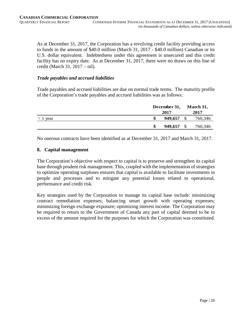As at December 31, 2017, the Corporation has a revolving credit facility providing access to funds in the amount of \$40.0 million (March 31, 2017 - \$40.0 million) Canadian or its U.S. dollar equivalent. Indebtedness under this agreement is unsecured and this credit facility has no expiry date. As at December 31, 2017, there were no draws on this line of credit (March 31, 2017 – nil).

#### *Trade payables and accrued liabilities*

Trade payables and accrued liabilities are due on normal trade terms. The maturity profile of the Corporation's trade payables and accrued liabilities was as follows:

|            | December 31, |         |      | March 31, |
|------------|--------------|---------|------|-----------|
|            |              |         | 2017 |           |
| $<$ 1 year | \$           | 949,657 |      | 760,346   |
|            | \$           | 949,657 |      | 760,346   |

No onerous contracts have been identified as at December 31, 2017 and March 31, 2017.

#### **8. Capital management**

The Corporation's objective with respect to capital is to preserve and strengthen its capital base through prudent risk management. This, coupled with the implementation of strategies to optimize operating surpluses ensures that capital is available to facilitate investments in people and processes and to mitigate any potential losses related to operational, performance and credit risk.

Key strategies used by the Corporation to manage its capital base include: minimizing contract remediation expenses; balancing smart growth with operating expenses; minimizing foreign exchange exposure; optimizing interest income. The Corporation may be required to return to the Government of Canada any part of capital deemed to be in excess of the amount required for the purposes for which the Corporation was constituted.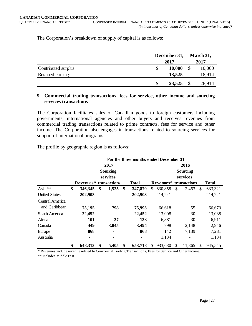The Corporation's breakdown of supply of capital is as follows:

|                     | December 31, |        |  | March 31, |  |
|---------------------|--------------|--------|--|-----------|--|
|                     |              | 2017   |  |           |  |
| Contributed surplus | \$           | 10,000 |  | 10,000    |  |
| Retained earnings   |              | 13,525 |  | 18,914    |  |
|                     | S            | 23,525 |  | 28,914    |  |

#### **9. Commercial trading transactions, fees for service, other income and sourcing services transactions**

The Corporation facilitates sales of Canadian goods to foreign customers including governments, international agencies and other buyers and receives revenues from commercial trading transactions related to prime contracts, fees for service and other income. The Corporation also engages in transactions related to sourcing services for support of international programs.

The profile by geographic region is as follows:

|                      | For the three months ended December 31 |                               |    |                 |    |              |                         |                        |     |          |               |              |  |
|----------------------|----------------------------------------|-------------------------------|----|-----------------|----|--------------|-------------------------|------------------------|-----|----------|---------------|--------------|--|
|                      |                                        |                               |    | 2017            |    |              | 2016<br><b>Sourcing</b> |                        |     |          |               |              |  |
|                      |                                        |                               |    | <b>Sourcing</b> |    |              |                         |                        |     |          |               |              |  |
|                      |                                        |                               |    | services        |    |              |                         |                        |     | services |               |              |  |
|                      |                                        | <b>Revenues*</b> transactions |    |                 |    | <b>Total</b> |                         | Revenues* transactions |     |          |               | <b>Total</b> |  |
| Asia **              | \$                                     | 346,345                       | \$ | 1,525           | \$ | 347,870      | \$                      | 630,858                | \$  | 2,463    | <sup>\$</sup> | 633,321      |  |
| <b>United States</b> |                                        | 202,903                       |    | $\blacksquare$  |    | 202,903      |                         | 214,241                |     |          |               | 214,241      |  |
| Central America      |                                        |                               |    |                 |    |              |                         |                        |     |          |               |              |  |
| and Caribbean        |                                        | 75,195                        |    | 798             |    | 75,993       |                         | 66,618                 |     | 55       |               | 66,673       |  |
| South America        |                                        | 22,452                        |    | $\blacksquare$  |    | 22,452       |                         | 13,008                 |     | 30       |               | 13,038       |  |
| Africa               |                                        | 101                           |    | 37              |    | 138          |                         | 6,881                  |     | 30       |               | 6,911        |  |
| Canada               |                                        | 449                           |    | 3,045           |    | 3,494        |                         | 798                    |     | 2,148    |               | 2,946        |  |
| Europe               |                                        | 868                           |    | ۰               |    | 868          |                         | 142                    |     | 7,139    |               | 7,281        |  |
| Australia            |                                        |                               |    |                 |    |              |                         | 1,134                  |     |          |               | 1,134        |  |
|                      | \$                                     | 648,313                       | S  | 5,405           | S  | 653,718      | S                       | 933,680                | \$. | 11,865   | S             | 945,545      |  |

\* Revenues include revenue related to Commercial Trading Transactions, Fees for Service and Other Income.

\*\* Includes Middle East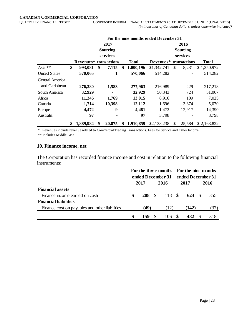|                      | For the nine months ended December 31 |                        |    |                 |    |              |                        |     |          |              |  |  |  |
|----------------------|---------------------------------------|------------------------|----|-----------------|----|--------------|------------------------|-----|----------|--------------|--|--|--|
|                      |                                       |                        |    | 2017            |    | 2016         |                        |     |          |              |  |  |  |
|                      |                                       |                        |    | <b>Sourcing</b> |    |              | <b>Sourcing</b>        |     |          |              |  |  |  |
|                      |                                       |                        |    | services        |    |              |                        |     | services |              |  |  |  |
|                      |                                       | Revenues* transactions |    |                 |    | <b>Total</b> | Revenues* transactions |     |          | <b>Total</b> |  |  |  |
| Asia **              | \$                                    | 993,081                | \$ | 7,115           | S  | 1,000,196    | \$1,342,741            | \$. | 8,231    | \$1,350,972  |  |  |  |
| <b>United States</b> |                                       | 570,065                |    | 1               |    | 570,066      | 514,282                |     |          | 514,282      |  |  |  |
| Central America      |                                       |                        |    |                 |    |              |                        |     |          |              |  |  |  |
| and Caribbean        |                                       | 276,380                |    | 1,583           |    | 277,963      | 216,989                |     | 229      | 217,218      |  |  |  |
| South America        |                                       | 32,929                 |    | $\blacksquare$  |    | 32,929       | 50,343                 |     | 724      | 51,067       |  |  |  |
| Africa               |                                       | 11,246                 |    | 1,769           |    | 13,015       | 6,916                  |     | 109      | 7,025        |  |  |  |
| Canada               |                                       | 1,714                  |    | 10,398          |    | 12,112       | 1,696                  |     | 3,374    | 5,070        |  |  |  |
| Europe               |                                       | 4,472                  |    | 9               |    | 4,481        | 1,473                  |     | 12,917   | 14,390       |  |  |  |
| Australia            |                                       | 97                     |    |                 |    | 97           | 3,798                  |     |          | 3,798        |  |  |  |
|                      | \$                                    | 1,889,984              | \$ | 20,875          | \$ | 1,910,859    | \$2,138,238            | \$  | 25,584   | \$2,163,822  |  |  |  |

\* Revenues include revenue related to Commercial Trading Transactions, Fees for Service and Other Income.

\*\* Includes Middle East

#### **10. Finance income, net**

The Corporation has recorded finance income and cost in relation to the following financial instruments:

|                                                | For the three months For the nine months<br>ended December 31 |               |  |        | ended December 31 |       |      |      |  |
|------------------------------------------------|---------------------------------------------------------------|---------------|--|--------|-------------------|-------|------|------|--|
|                                                |                                                               | 2017          |  | 2016   |                   | 2017  |      | 2016 |  |
| <b>Financial assets</b>                        |                                                               |               |  |        |                   |       |      |      |  |
| Finance income earned on cash                  | S                                                             | $208 \quad $$ |  | 118 \$ |                   | 624   | - \$ | 355  |  |
| <b>Financial liabilities</b>                   |                                                               |               |  |        |                   |       |      |      |  |
| Finance cost on payables and other liabilities |                                                               | (49)          |  | (12)   |                   | (142) |      | (37) |  |
|                                                | S                                                             | 159           |  | 106    |                   |       |      | 318  |  |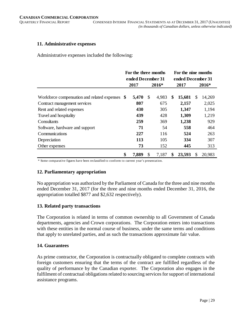#### **11. Administrative expenses**

Administrative expenses included the following:

|                                                | For the three months<br>ended December 31 |             | For the nine months<br>ended December 31 |        |    |        |  |  |
|------------------------------------------------|-------------------------------------------|-------------|------------------------------------------|--------|----|--------|--|--|
|                                                | 2017                                      | 2016*       |                                          | 2017   |    | 2016*  |  |  |
| Workforce compensation and related expenses \$ | 5,470                                     | \$<br>4,983 | \$                                       | 15,681 | \$ | 14,269 |  |  |
| Contract management services                   | 807                                       | 675         |                                          | 2,157  |    | 2,025  |  |  |
| Rent and related expenses                      | 430                                       | 305         |                                          | 1,347  |    | 1,194  |  |  |
| Travel and hospitality                         | 439                                       | 428         |                                          | 1,309  |    | 1,219  |  |  |
| Consultants                                    | 259                                       | 369         |                                          | 1,238  |    | 929    |  |  |
| Software, hardware and support                 | 71                                        | 54          |                                          | 558    |    | 464    |  |  |
| Communications                                 | 227                                       | 116         |                                          | 524    |    | 263    |  |  |
| Depreciation                                   | 113                                       | 105         |                                          | 334    |    | 307    |  |  |
| Other expenses                                 | 73                                        | 152         |                                          | 445    |    | 313    |  |  |
|                                                | \$<br>7,889                               | \$<br>7,187 | \$                                       | 23,593 | S  | 20,983 |  |  |

\* Some comparative figures have been reclassified to conform to current year's presentation.

#### **12. Parliamentary appropriation**

No appropriation was authorized by the Parliament of Canada for the three and nine months ended December 31, 2017 (for the three and nine months ended December 31, 2016, the appropriation totalled \$877 and \$2,632 respectively).

#### **13. Related party transactions**

The Corporation is related in terms of common ownership to all Government of Canada departments, agencies and Crown corporations. The Corporation enters into transactions with these entities in the normal course of business, under the same terms and conditions that apply to unrelated parties, and as such the transactions approximate fair value.

#### **14. Guarantees**

As prime contractor, the Corporation is contractually obligated to complete contracts with foreign customers ensuring that the terms of the contract are fulfilled regardless of the quality of performance by the Canadian exporter. The Corporation also engages in the fulfilment of contractual obligations related to sourcing services for support of international assistance programs.